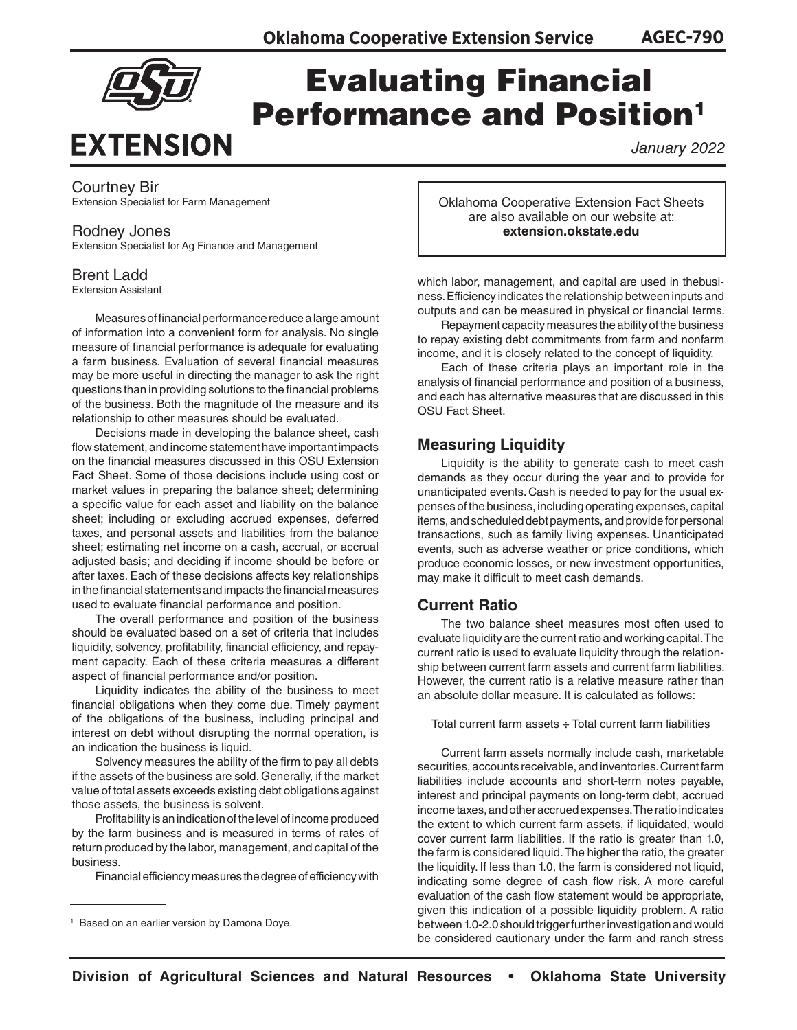

# Evaluating Financial **Performance and Position<sup>1</sup>**

*January 2022*

# Courtney Bir

Extension Specialist for Farm Management

# Rodney Jones

Extension Specialist for Ag Finance and Management

# Brent Ladd

Extension Assistant

Measures of financial performance reduce a large amount of information into a convenient form for analysis. No single measure of financial performance is adequate for evaluating a farm business. Evaluation of several financial measures may be more useful in directing the manager to ask the right questions than in providing solutions to the financial problems of the business. Both the magnitude of the measure and its relationship to other measures should be evaluated.

Decisions made in developing the balance sheet, cash flow statement, and income statement have important impacts on the financial measures discussed in this OSU Extension Fact Sheet. Some of those decisions include using cost or market values in preparing the balance sheet; determining a specific value for each asset and liability on the balance sheet; including or excluding accrued expenses, deferred taxes, and personal assets and liabilities from the balance sheet; estimating net income on a cash, accrual, or accrual adjusted basis; and deciding if income should be before or after taxes. Each of these decisions affects key relationships in the financial statements and impacts the financial measures used to evaluate financial performance and position.

The overall performance and position of the business should be evaluated based on a set of criteria that includes liquidity, solvency, profitability, financial efficiency, and repayment capacity. Each of these criteria measures a different aspect of financial performance and/or position.

Liquidity indicates the ability of the business to meet financial obligations when they come due. Timely payment of the obligations of the business, including principal and interest on debt without disrupting the normal operation, is an indication the business is liquid.

Solvency measures the ability of the firm to pay all debts if the assets of the business are sold. Generally, if the market value of total assets exceeds existing debt obligations against those assets, the business is solvent.

Profitability is an indication of the level of income produced by the farm business and is measured in terms of rates of return produced by the labor, management, and capital of the business.

Financial efficiency measures the degree of efficiency with

Oklahoma Cooperative Extension Fact Sheets are also available on our website at: **extension.okstate.edu**

which labor, management, and capital are used in thebusiness. Efficiency indicates the relationship between inputs and outputs and can be measured in physical or financial terms.

Repayment capacity measures the ability of the business to repay existing debt commitments from farm and nonfarm income, and it is closely related to the concept of liquidity.

Each of these criteria plays an important role in the analysis of financial performance and position of a business, and each has alternative measures that are discussed in this OSU Fact Sheet.

# **Measuring Liquidity**

Liquidity is the ability to generate cash to meet cash demands as they occur during the year and to provide for unanticipated events. Cash is needed to pay for the usual expenses of the business, including operating expenses, capital items, and scheduled debt payments, and provide for personal transactions, such as family living expenses. Unanticipated events, such as adverse weather or price conditions, which produce economic losses, or new investment opportunities, may make it difficult to meet cash demands.

# **Current Ratio**

The two balance sheet measures most often used to evaluate liquidity are the current ratio and working capital. The current ratio is used to evaluate liquidity through the relationship between current farm assets and current farm liabilities. However, the current ratio is a relative measure rather than an absolute dollar measure. It is calculated as follows:

Total current farm assets  $\div$  Total current farm liabilities

Current farm assets normally include cash, marketable securities, accounts receivable, and inventories. Current farm liabilities include accounts and short-term notes payable, interest and principal payments on long-term debt, accrued income taxes, and other accrued expenses. The ratio indicates the extent to which current farm assets, if liquidated, would cover current farm liabilities. If the ratio is greater than 1.0, the farm is considered liquid. The higher the ratio, the greater the liquidity. If less than 1.0, the farm is considered not liquid, indicating some degree of cash flow risk. A more careful evaluation of the cash flow statement would be appropriate, given this indication of a possible liquidity problem. A ratio between 1.0-2.0 should trigger further investigation and would be considered cautionary under the farm and ranch stress

<sup>1</sup> Based on an earlier version by Damona Doye.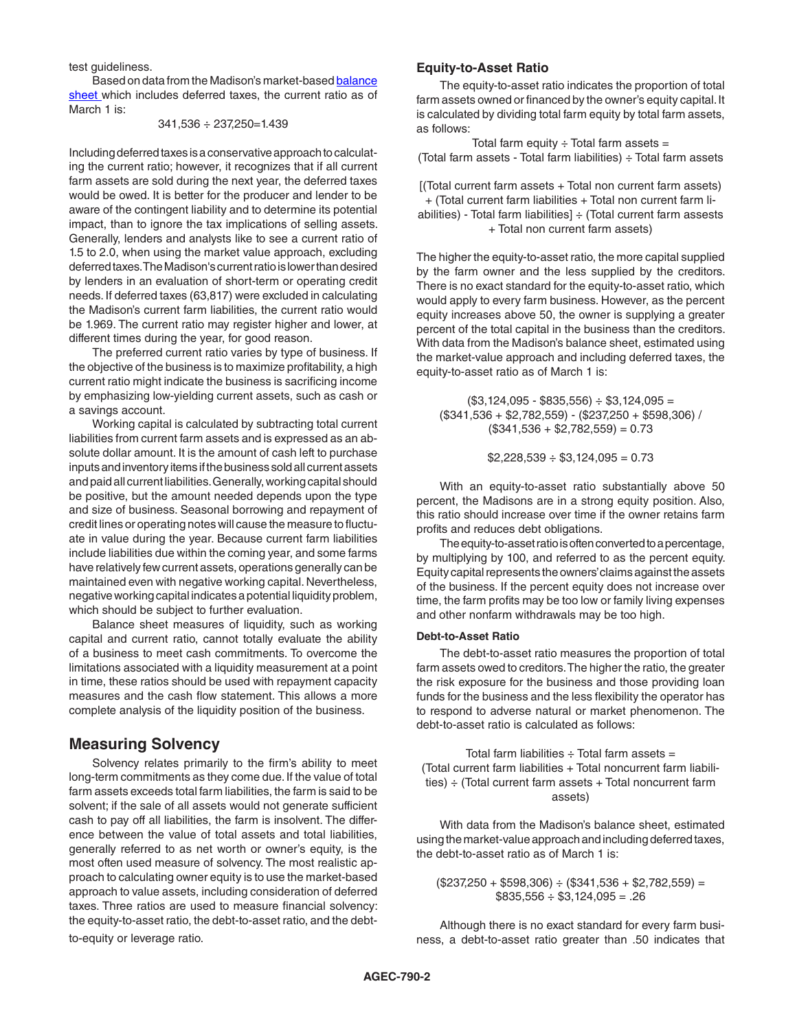test guideliness.

Based on data from the Madison's market-based [balance](https://extension.okstate.edu/fact-sheets/developing-a-balance-sheet.html) [sheet](https://extension.okstate.edu/fact-sheets/developing-a-balance-sheet.html) which includes deferred taxes, the current ratio as of March 1 is:

341,536 ÷ 237,250=1.439

Including deferred taxes is a conservative approach to calculating the current ratio; however, it recognizes that if all current farm assets are sold during the next year, the deferred taxes would be owed. It is better for the producer and lender to be aware of the contingent liability and to determine its potential impact, than to ignore the tax implications of selling assets. Generally, lenders and analysts like to see a current ratio of 1.5 to 2.0, when using the market value approach, excluding deferred taxes. The Madison's current ratio is lower than desired by lenders in an evaluation of short-term or operating credit needs. If deferred taxes (63,817) were excluded in calculating the Madison's current farm liabilities, the current ratio would be 1.969. The current ratio may register higher and lower, at different times during the year, for good reason.

The preferred current ratio varies by type of business. If the objective of the business is to maximize profitability, a high current ratio might indicate the business is sacrificing income by emphasizing low-yielding current assets, such as cash or a savings account.

Working capital is calculated by subtracting total current liabilities from current farm assets and is expressed as an absolute dollar amount. It is the amount of cash left to purchase inputs and inventory items if the business sold all current assets and paid all current liabilities. Generally, working capital should be positive, but the amount needed depends upon the type and size of business. Seasonal borrowing and repayment of credit lines or operating notes will cause the measure to fluctuate in value during the year. Because current farm liabilities include liabilities due within the coming year, and some farms have relatively few current assets, operations generally can be maintained even with negative working capital. Nevertheless, negative working capital indicates a potential liquidity problem, which should be subject to further evaluation.

Balance sheet measures of liquidity, such as working capital and current ratio, cannot totally evaluate the ability of a business to meet cash commitments. To overcome the limitations associated with a liquidity measurement at a point in time, these ratios should be used with repayment capacity measures and the cash flow statement. This allows a more complete analysis of the liquidity position of the business.

# **Measuring Solvency**

Solvency relates primarily to the firm's ability to meet long-term commitments as they come due. If the value of total farm assets exceeds total farm liabilities, the farm is said to be solvent; if the sale of all assets would not generate sufficient cash to pay off all liabilities, the farm is insolvent. The difference between the value of total assets and total liabilities, generally referred to as net worth or owner's equity, is the most often used measure of solvency. The most realistic approach to calculating owner equity is to use the market-based approach to value assets, including consideration of deferred taxes. Three ratios are used to measure financial solvency: the equity-to-asset ratio, the debt-to-asset ratio, and the debtto-equity or leverage ratio.

### **Equity-to-Asset Ratio**

The equity-to-asset ratio indicates the proportion of total farm assets owned or financed by the owner's equity capital. It is calculated by dividing total farm equity by total farm assets, as follows:

Total farm equity  $\div$  Total farm assets = (Total farm assets - Total farm liabilities) ÷ Total farm assets

[(Total current farm assets + Total non current farm assets) + (Total current farm liabilities + Total non current farm liabilities) - Total farm liabilities] ÷ (Total current farm assests + Total non current farm assets)

The higher the equity-to-asset ratio, the more capital supplied by the farm owner and the less supplied by the creditors. There is no exact standard for the equity-to-asset ratio, which would apply to every farm business. However, as the percent equity increases above 50, the owner is supplying a greater percent of the total capital in the business than the creditors. With data from the Madison's balance sheet, estimated using the market-value approach and including deferred taxes, the equity-to-asset ratio as of March 1 is:

 $($3,124,095 - $835,556) ÷ $3,124,095 =$ (\$341,536 + \$2,782,559) - (\$237,250 + \$598,306) /  $($341,536 + $2,782,559) = 0.73$ 

 $$2,228,539 \div $3,124,095 = 0.73$ 

With an equity-to-asset ratio substantially above 50 percent, the Madisons are in a strong equity position. Also, this ratio should increase over time if the owner retains farm profits and reduces debt obligations.

The equity-to-asset ratio is often converted to a percentage, by multiplying by 100, and referred to as the percent equity. Equity capital represents the owners' claims against the assets of the business. If the percent equity does not increase over time, the farm profits may be too low or family living expenses and other nonfarm withdrawals may be too high.

#### **Debt-to-Asset Ratio**

The debt-to-asset ratio measures the proportion of total farm assets owed to creditors. The higher the ratio, the greater the risk exposure for the business and those providing loan funds for the business and the less flexibility the operator has to respond to adverse natural or market phenomenon. The debt-to-asset ratio is calculated as follows:

Total farm liabilities  $\div$  Total farm assets = (Total current farm liabilities + Total noncurrent farm liabilities)  $\div$  (Total current farm assets  $+$  Total noncurrent farm assets)

With data from the Madison's balance sheet, estimated using the market-value approach and including deferred taxes, the debt-to-asset ratio as of March 1 is:

 $($237.250 + $598.306) ÷ ($341.536 + $2.782.559) =$  $$835,556 \div $3,124,095 = .26$ 

Although there is no exact standard for every farm business, a debt-to-asset ratio greater than .50 indicates that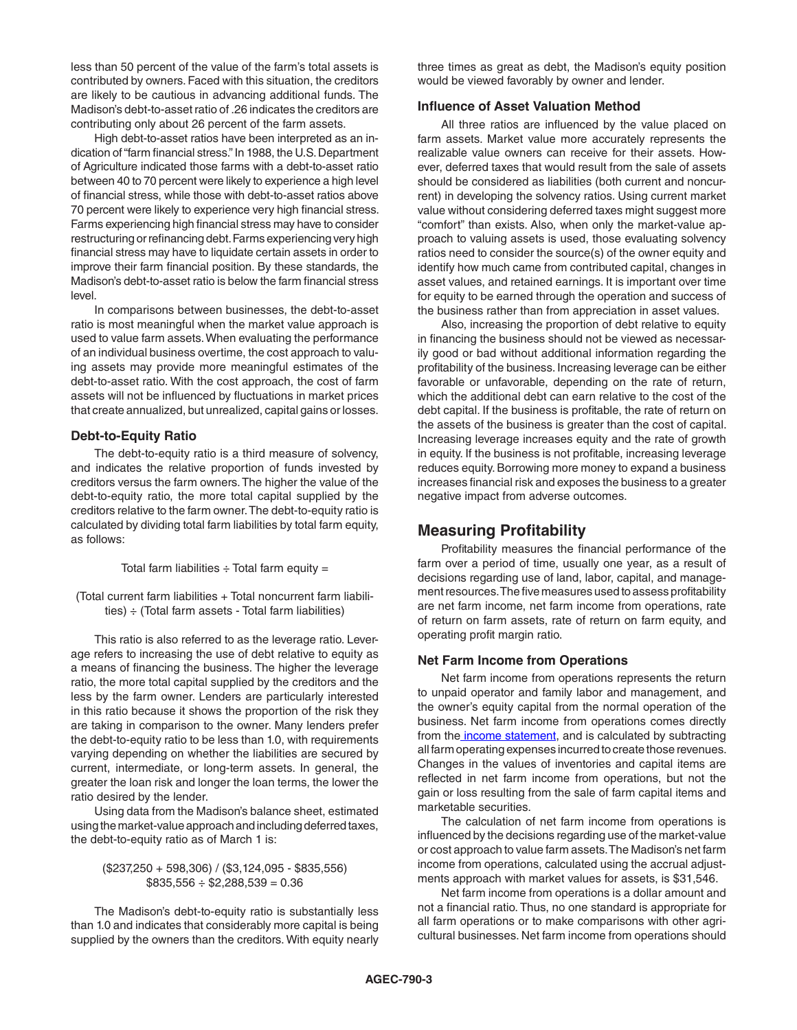less than 50 percent of the value of the farm's total assets is contributed by owners. Faced with this situation, the creditors are likely to be cautious in advancing additional funds. The Madison's debt-to-asset ratio of .26 indicates the creditors are contributing only about 26 percent of the farm assets.

High debt-to-asset ratios have been interpreted as an indication of "farm financial stress." In 1988, the U.S. Department of Agriculture indicated those farms with a debt-to-asset ratio between 40 to 70 percent were likely to experience a high level of financial stress, while those with debt-to-asset ratios above 70 percent were likely to experience very high financial stress. Farms experiencing high financial stress may have to consider restructuring or refinancing debt. Farms experiencing very high financial stress may have to liquidate certain assets in order to improve their farm financial position. By these standards, the Madison's debt-to-asset ratio is below the farm financial stress level.

In comparisons between businesses, the debt-to-asset ratio is most meaningful when the market value approach is used to value farm assets. When evaluating the performance of an individual business overtime, the cost approach to valuing assets may provide more meaningful estimates of the debt-to-asset ratio. With the cost approach, the cost of farm assets will not be influenced by fluctuations in market prices that create annualized, but unrealized, capital gains or losses.

#### **Debt-to-Equity Ratio**

The debt-to-equity ratio is a third measure of solvency, and indicates the relative proportion of funds invested by creditors versus the farm owners. The higher the value of the debt-to-equity ratio, the more total capital supplied by the creditors relative to the farm owner. The debt-to-equity ratio is calculated by dividing total farm liabilities by total farm equity, as follows:

Total farm liabilities  $\div$  Total farm equity =

(Total current farm liabilities + Total noncurrent farm liabilities)  $\div$  (Total farm assets - Total farm liabilities)

This ratio is also referred to as the leverage ratio. Leverage refers to increasing the use of debt relative to equity as a means of financing the business. The higher the leverage ratio, the more total capital supplied by the creditors and the less by the farm owner. Lenders are particularly interested in this ratio because it shows the proportion of the risk they are taking in comparison to the owner. Many lenders prefer the debt-to-equity ratio to be less than 1.0, with requirements varying depending on whether the liabilities are secured by current, intermediate, or long-term assets. In general, the greater the loan risk and longer the loan terms, the lower the ratio desired by the lender.

Using data from the Madison's balance sheet, estimated using the market-value approach and including deferred taxes, the debt-to-equity ratio as of March 1 is:

#### (\$237,250 + 598,306) / (\$3,124,095 - \$835,556)  $$835,556 \div $2,288,539 = 0.36$

The Madison's debt-to-equity ratio is substantially less than 1.0 and indicates that considerably more capital is being supplied by the owners than the creditors. With equity nearly three times as great as debt, the Madison's equity position would be viewed favorably by owner and lender.

#### **Influence of Asset Valuation Method**

All three ratios are influenced by the value placed on farm assets. Market value more accurately represents the realizable value owners can receive for their assets. However, deferred taxes that would result from the sale of assets should be considered as liabilities (both current and noncurrent) in developing the solvency ratios. Using current market value without considering deferred taxes might suggest more "comfort" than exists. Also, when only the market-value approach to valuing assets is used, those evaluating solvency ratios need to consider the source(s) of the owner equity and identify how much came from contributed capital, changes in asset values, and retained earnings. It is important over time for equity to be earned through the operation and success of the business rather than from appreciation in asset values.

Also, increasing the proportion of debt relative to equity in financing the business should not be viewed as necessarily good or bad without additional information regarding the profitability of the business. Increasing leverage can be either favorable or unfavorable, depending on the rate of return, which the additional debt can earn relative to the cost of the debt capital. If the business is profitable, the rate of return on the assets of the business is greater than the cost of capital. Increasing leverage increases equity and the rate of growth in equity. If the business is not profitable, increasing leverage reduces equity. Borrowing more money to expand a business increases financial risk and exposes the business to a greater negative impact from adverse outcomes.

# **Measuring Profitability**

Profitability measures the financial performance of the farm over a period of time, usually one year, as a result of decisions regarding use of land, labor, capital, and management resources. The five measures used to assess profitability are net farm income, net farm income from operations, rate of return on farm assets, rate of return on farm equity, and operating profit margin ratio.

#### **Net Farm Income from Operations**

Net farm income from operations represents the return to unpaid operator and family labor and management, and the owner's equity capital from the normal operation of the business. Net farm income from operations comes directly from the [income statement](https://extension.okstate.edu/fact-sheets/print-publications/agec/developing-an-income-statement-agec-753.pdf), and is calculated by subtracting all farm operating expenses incurred to create those revenues. Changes in the values of inventories and capital items are reflected in net farm income from operations, but not the gain or loss resulting from the sale of farm capital items and marketable securities.

The calculation of net farm income from operations is influenced by the decisions regarding use of the market-value or cost approach to value farm assets. The Madison's net farm income from operations, calculated using the accrual adjustments approach with market values for assets, is \$31,546.

Net farm income from operations is a dollar amount and not a financial ratio. Thus, no one standard is appropriate for all farm operations or to make comparisons with other agricultural businesses. Net farm income from operations should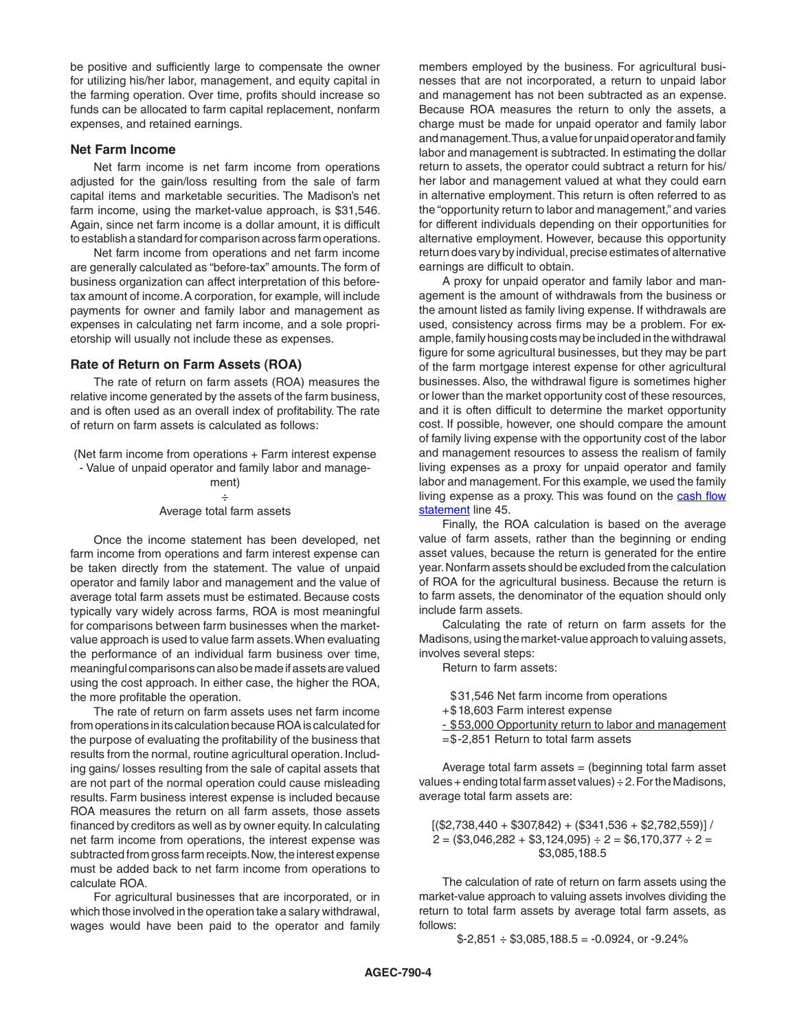be positive and sufficiently large to compensate the owner for utilizing his/her labor, management, and equity capital in the farming operation. Over time, profits should increase so funds can be allocated to farm capital replacement, nonfarm expenses, and retained earnings.

#### **Net Farm Income**

Net farm income is net farm income from operations adjusted for the gain/loss resulting from the sale of farm capital items and marketable securities. The Madison's net farm income, using the market-value approach, is \$31,546. Again, since net farm income is a dollar amount, it is difficult to establish a standard for comparison across farm operations.

Net farm income from operations and net farm income are generally calculated as "before-tax" amounts. The form of business organization can affect interpretation of this beforetax amount of income. A corporation, for example, will include payments for owner and family labor and management as expenses in calculating net farm income, and a sole proprietorship will usually not include these as expenses.

# **Rate of Return on Farm Assets (ROA)**

The rate of return on farm assets (ROA) measures the relative income generated by the assets of the farm business, and is often used as an overall index of profitability. The rate of return on farm assets is calculated as follows:

(Net farm income from operations + Farm interest expense - Value of unpaid operator and family labor and manage-

> ment) ÷ Average total farm assets

Once the income statement has been developed, net farm income from operations and farm interest expense can be taken directly from the statement. The value of unpaid operator and family labor and management and the value of average total farm assets must be estimated. Because costs typically vary widely across farms, ROA is most meaningful for comparisons between farm businesses when the marketvalue approach is used to value farm assets. When evaluating the performance of an individual farm business over time, meaningful comparisons can also be made if assets are valued using the cost approach. In either case, the higher the ROA, the more profitable the operation.

The rate of return on farm assets uses net farm income from operations in its calculation because ROA is calculated for the purpose of evaluating the profitability of the business that results from the normal, routine agricultural operation. Including gains/ losses resulting from the sale of capital assets that are not part of the normal operation could cause misleading results. Farm business interest expense is included because ROA measures the return on all farm assets, those assets financed by creditors as well as by owner equity. In calculating net farm income from operations, the interest expense was subtracted from gross farm receipts. Now, the interest expense must be added back to net farm income from operations to calculate ROA.

For agricultural businesses that are incorporated, or in which those involved in the operation take a salary withdrawal, wages would have been paid to the operator and family

members employed by the business. For agricultural businesses that are not incorporated, a return to unpaid labor and management has not been subtracted as an expense. Because ROA measures the return to only the assets, a charge must be made for unpaid operator and family labor and management. Thus, a value for unpaid operator and family labor and management is subtracted. In estimating the dollar return to assets, the operator could subtract a return for his/ her labor and management valued at what they could earn in alternative employment. This return is often referred to as the "opportunity return to labor and management," and varies for different individuals depending on their opportunities for alternative employment. However, because this opportunity return does vary by individual, precise estimates of alternative earnings are difficult to obtain.

A proxy for unpaid operator and family labor and management is the amount of withdrawals from the business or the amount listed as family living expense. If withdrawals are used, consistency across firms may be a problem. For example, family housing costs may be included in the withdrawal figure for some agricultural businesses, but they may be part of the farm mortgage interest expense for other agricultural businesses. Also, the withdrawal figure is sometimes higher or lower than the market opportunity cost of these resources, and it is often difficult to determine the market opportunity cost. If possible, however, one should compare the amount of family living expense with the opportunity cost of the labor and management resources to assess the realism of family living expenses as a proxy for unpaid operator and family labor and management. For this example, we used the family living expense as a proxy. This was found on the [cash flow](https://extension.okstate.edu/fact-sheets/developing-a-cash-flow-plan.html) [statement](https://extension.okstate.edu/fact-sheets/developing-a-cash-flow-plan.html) line 45.

Finally, the ROA calculation is based on the average value of farm assets, rather than the beginning or ending asset values, because the return is generated for the entire year. Nonfarm assets should be excluded from the calculation of ROA for the agricultural business. Because the return is to farm assets, the denominator of the equation should only include farm assets.

Calculating the rate of return on farm assets for the Madisons, using the market-value approach to valuing assets, involves several steps:

Return to farm assets:

- \$31,546 Net farm income from operations +\$18,603 Farm interest expense
- 
- \$53,000 Opportunity return to labor and management =\$-2,851 Return to total farm assets

Average total farm assets  $=$  (beginning total farm asset values + ending total farm asset values)  $\div$  2. For the Madisons, average total farm assets are:

 $[($2,738,440 + $307,842) + ($341,536 + $2,782,559)]/$  $2 = (\$3,046,282 + \$3,124,095) \div 2 = \$6,170,377 \div 2 =$ \$3,085,188.5

The calculation of rate of return on farm assets using the market-value approach to valuing assets involves dividing the return to total farm assets by average total farm assets, as follows:

 $$-2,851 \div $3,085,188.5 = -0.0924$ , or  $-9.24\%$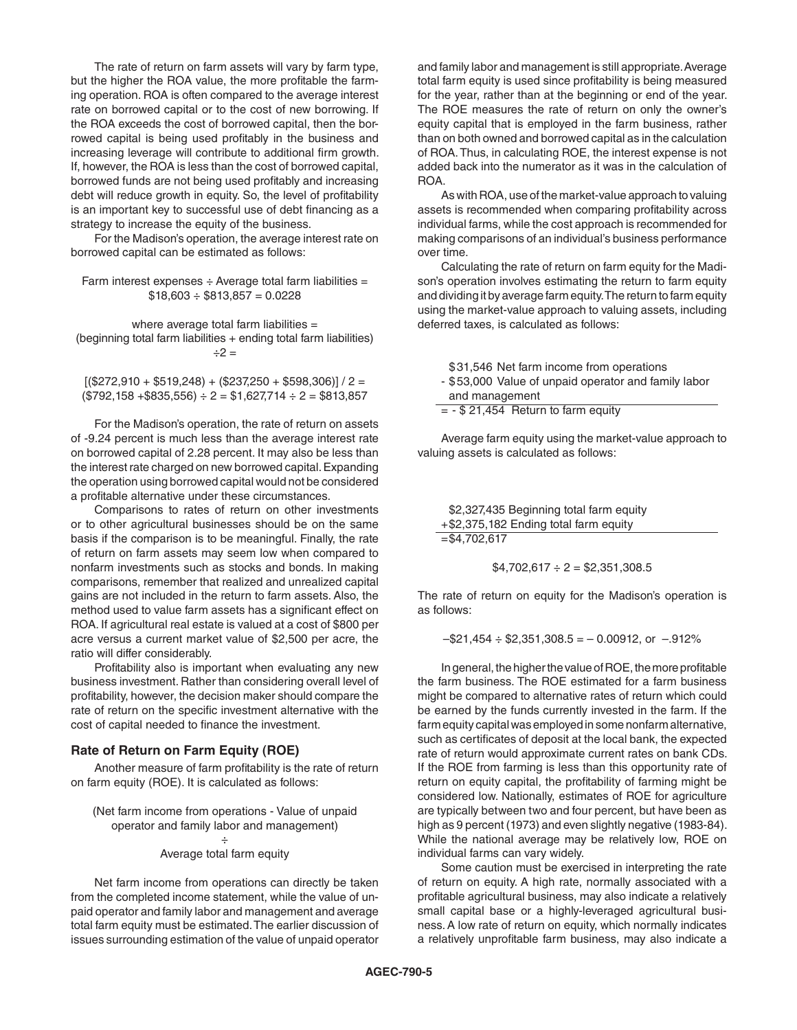The rate of return on farm assets will vary by farm type, but the higher the ROA value, the more profitable the farming operation. ROA is often compared to the average interest rate on borrowed capital or to the cost of new borrowing. If the ROA exceeds the cost of borrowed capital, then the borrowed capital is being used profitably in the business and increasing leverage will contribute to additional firm growth. If, however, the ROA is less than the cost of borrowed capital, borrowed funds are not being used profitably and increasing debt will reduce growth in equity. So, the level of profitability is an important key to successful use of debt financing as a strategy to increase the equity of the business.

For the Madison's operation, the average interest rate on borrowed capital can be estimated as follows:

Farm interest expenses  $\div$  Average total farm liabilities =  $$18,603 \div $813,857 = 0.0228$ 

where average total farm liabilities = (beginning total farm liabilities + ending total farm liabilities)  $\div 2 =$ 

 $[($272,910 + $519,248) + ($237,250 + $598,306)] / 2 =$  $($792,158 + $835,556) ÷ 2 = $1,627,714 ÷ 2 = $813,857$ 

For the Madison's operation, the rate of return on assets of -9.24 percent is much less than the average interest rate on borrowed capital of 2.28 percent. It may also be less than the interest rate charged on new borrowed capital. Expanding the operation using borrowed capital would not be considered a profitable alternative under these circumstances.

Comparisons to rates of return on other investments or to other agricultural businesses should be on the same basis if the comparison is to be meaningful. Finally, the rate of return on farm assets may seem low when compared to nonfarm investments such as stocks and bonds. In making comparisons, remember that realized and unrealized capital gains are not included in the return to farm assets. Also, the method used to value farm assets has a significant effect on ROA. If agricultural real estate is valued at a cost of \$800 per acre versus a current market value of \$2,500 per acre, the ratio will differ considerably.

Profitability also is important when evaluating any new business investment. Rather than considering overall level of profitability, however, the decision maker should compare the rate of return on the specific investment alternative with the cost of capital needed to finance the investment.

#### **Rate of Return on Farm Equity (ROE)**

Another measure of farm profitability is the rate of return on farm equity (ROE). It is calculated as follows:

```
(Net farm income from operations - Value of unpaid 
   operator and family labor and management) 
                        ÷ 
            Average total farm equity
```
Net farm income from operations can directly be taken from the completed income statement, while the value of unpaid operator and family labor and management and average total farm equity must be estimated. The earlier discussion of issues surrounding estimation of the value of unpaid operator and family labor and management is still appropriate. Average total farm equity is used since profitability is being measured for the year, rather than at the beginning or end of the year. The ROE measures the rate of return on only the owner's equity capital that is employed in the farm business, rather than on both owned and borrowed capital as in the calculation of ROA. Thus, in calculating ROE, the interest expense is not added back into the numerator as it was in the calculation of ROA.

As with ROA, use of the market-value approach to valuing assets is recommended when comparing profitability across individual farms, while the cost approach is recommended for making comparisons of an individual's business performance over time.

Calculating the rate of return on farm equity for the Madison's operation involves estimating the return to farm equity and dividing it by average farm equity. The return to farm equity using the market-value approach to valuing assets, including deferred taxes, is calculated as follows:

| \$31,546 Net farm income from operations             |
|------------------------------------------------------|
| - \$53,000 Value of unpaid operator and family labor |
| and management                                       |
| $= -$ \$ 21,454 Return to farm equity                |

Average farm equity using the market-value approach to valuing assets is calculated as follows:

```
$2,327,435 Beginning total farm equity
+$2,375,182 Ending total farm equity
=$4,702,617
```

$$
$4,702,617 \div 2 = $2,351,308.5
$$

The rate of return on equity for the Madison's operation is as follows:

 $-$ \$21,454  $\div$  \$2,351,308.5 = -0.00912, or -.912%

In general, the higher the value of ROE, the more profitable the farm business. The ROE estimated for a farm business might be compared to alternative rates of return which could be earned by the funds currently invested in the farm. If the farm equity capital was employed in some nonfarm alternative, such as certificates of deposit at the local bank, the expected rate of return would approximate current rates on bank CDs. If the ROE from farming is less than this opportunity rate of return on equity capital, the profitability of farming might be considered low. Nationally, estimates of ROE for agriculture are typically between two and four percent, but have been as high as 9 percent (1973) and even slightly negative (1983-84). While the national average may be relatively low, ROE on individual farms can vary widely.

Some caution must be exercised in interpreting the rate of return on equity. A high rate, normally associated with a profitable agricultural business, may also indicate a relatively small capital base or a highly-leveraged agricultural business. A low rate of return on equity, which normally indicates a relatively unprofitable farm business, may also indicate a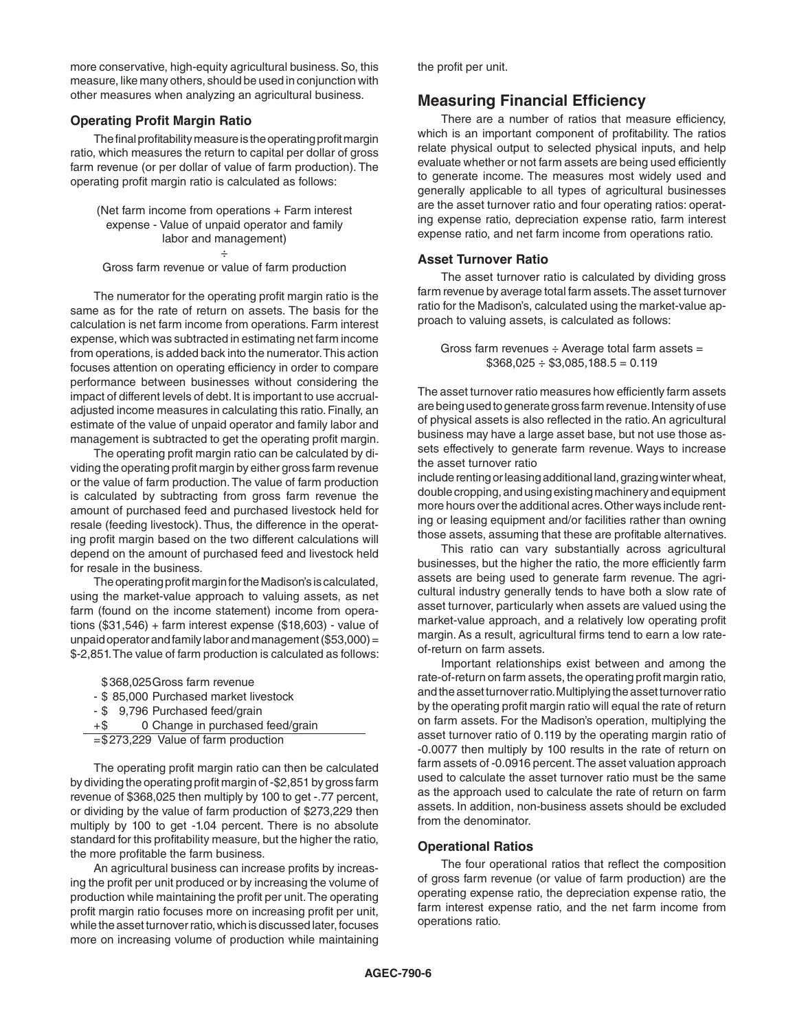more conservative, high-equity agricultural business. So, this measure, like many others, should be used in conjunction with other measures when analyzing an agricultural business.

# **Operating Profit Margin Ratio**

The final profitability measure is the operating profit margin ratio, which measures the return to capital per dollar of gross farm revenue (or per dollar of value of farm production). The operating profit margin ratio is calculated as follows:

(Net farm income from operations + Farm interest expense - Value of unpaid operator and family labor and management) ÷

Gross farm revenue or value of farm production

The numerator for the operating profit margin ratio is the same as for the rate of return on assets. The basis for the calculation is net farm income from operations. Farm interest expense, which was subtracted in estimating net farm income from operations, is added back into the numerator. This action focuses attention on operating efficiency in order to compare performance between businesses without considering the impact of different levels of debt. It is important to use accrualadjusted income measures in calculating this ratio. Finally, an estimate of the value of unpaid operator and family labor and management is subtracted to get the operating profit margin.

The operating profit margin ratio can be calculated by dividing the operating profit margin by either gross farm revenue or the value of farm production. The value of farm production is calculated by subtracting from gross farm revenue the amount of purchased feed and purchased livestock held for resale (feeding livestock). Thus, the difference in the operating profit margin based on the two different calculations will depend on the amount of purchased feed and livestock held for resale in the business.

The operating profit margin for the Madison's is calculated, using the market-value approach to valuing assets, as net farm (found on the income statement) income from operations (\$31,546) + farm interest expense (\$18,603) - value of unpaid operator and family labor and management (\$53,000) = \$-2,851. The value of farm production is calculated as follows:

\$ 368,025Gross farm revenue

- \$ 85,000 Purchased market livestock
- \$ 9,796 Purchased feed/grain

```
+$ 0 Change in purchased feed/grain
```

```
=$273,229 Value of farm production
```
The operating profit margin ratio can then be calculated by dividing the operating profit margin of -\$2,851 by gross farm revenue of \$368,025 then multiply by 100 to get -.77 percent, or dividing by the value of farm production of \$273,229 then multiply by 100 to get -1.04 percent. There is no absolute standard for this profitability measure, but the higher the ratio, the more profitable the farm business.

An agricultural business can increase profits by increasing the profit per unit produced or by increasing the volume of production while maintaining the profit per unit. The operating profit margin ratio focuses more on increasing profit per unit, while the asset turnover ratio, which is discussed later, focuses more on increasing volume of production while maintaining the profit per unit.

# **Measuring Financial Efficiency**

There are a number of ratios that measure efficiency, which is an important component of profitability. The ratios relate physical output to selected physical inputs, and help evaluate whether or not farm assets are being used efficiently to generate income. The measures most widely used and generally applicable to all types of agricultural businesses are the asset turnover ratio and four operating ratios: operating expense ratio, depreciation expense ratio, farm interest expense ratio, and net farm income from operations ratio.

#### **Asset Turnover Ratio**

The asset turnover ratio is calculated by dividing gross farm revenue by average total farm assets. The asset turnover ratio for the Madison's, calculated using the market-value approach to valuing assets, is calculated as follows:

Gross farm revenues  $\div$  Average total farm assets  $=$  $$368,025 \div $3,085,188.5 = 0.119$ 

The asset turnover ratio measures how efficiently farm assets are being used to generate gross farm revenue. Intensity of use of physical assets is also reflected in the ratio. An agricultural business may have a large asset base, but not use those assets effectively to generate farm revenue. Ways to increase the asset turnover ratio

include renting or leasing additional land, grazing winter wheat, double cropping, and using existing machinery and equipment more hours over the additional acres. Other ways include renting or leasing equipment and/or facilities rather than owning those assets, assuming that these are profitable alternatives.

This ratio can vary substantially across agricultural businesses, but the higher the ratio, the more efficiently farm assets are being used to generate farm revenue. The agricultural industry generally tends to have both a slow rate of asset turnover, particularly when assets are valued using the market-value approach, and a relatively low operating profit margin. As a result, agricultural firms tend to earn a low rateof-return on farm assets.

Important relationships exist between and among the rate-of-return on farm assets, the operating profit margin ratio, and the asset turnover ratio. Multiplying the asset turnover ratio by the operating profit margin ratio will equal the rate of return on farm assets. For the Madison's operation, multiplying the asset turnover ratio of 0.119 by the operating margin ratio of -0.0077 then multiply by 100 results in the rate of return on farm assets of -0.0916 percent. The asset valuation approach used to calculate the asset turnover ratio must be the same as the approach used to calculate the rate of return on farm assets. In addition, non-business assets should be excluded from the denominator.

# **Operational Ratios**

The four operational ratios that reflect the composition of gross farm revenue (or value of farm production) are the operating expense ratio, the depreciation expense ratio, the farm interest expense ratio, and the net farm income from operations ratio.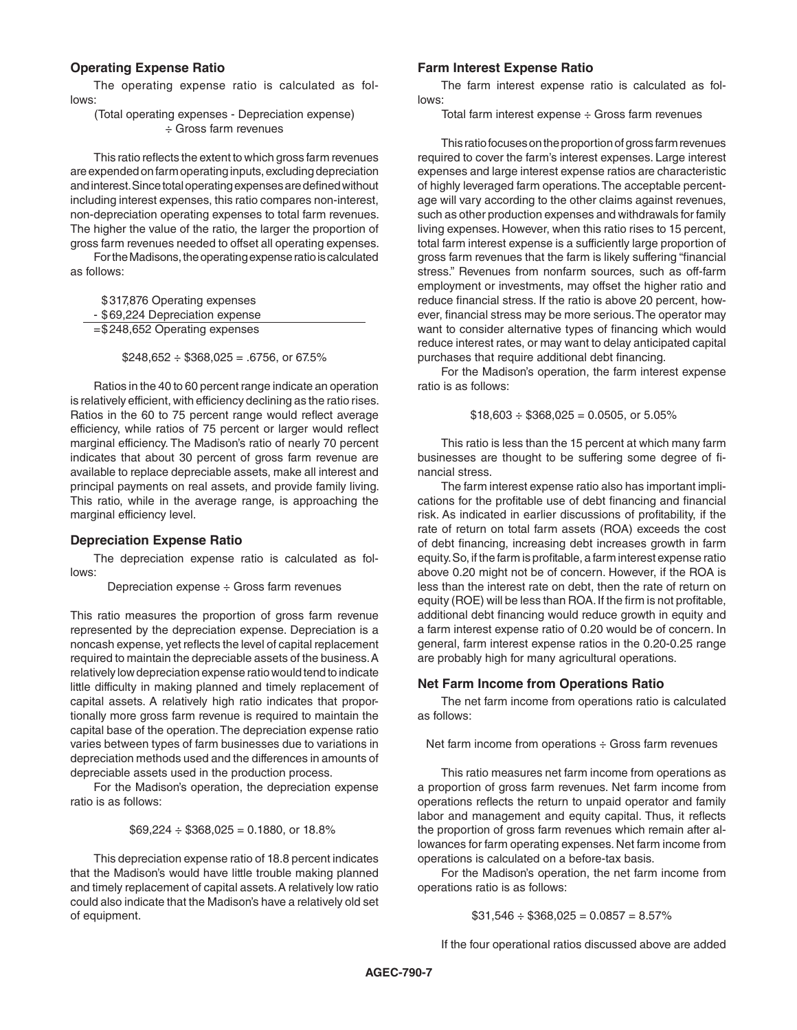# **Operating Expense Ratio**

The operating expense ratio is calculated as follows:

(Total operating expenses - Depreciation expense) ÷ Gross farm revenues

This ratio reflects the extent to which gross farm revenues are expended on farm operating inputs, excluding depreciation and interest. Since total operating expenses are defined without including interest expenses, this ratio compares non-interest, non-depreciation operating expenses to total farm revenues. The higher the value of the ratio, the larger the proportion of gross farm revenues needed to offset all operating expenses.

For the Madisons, the operating expense ratio is calculated as follows:

\$317,876 Operating expenses - \$69,224 Depreciation expense =\$248,652 Operating expenses

 $$248,652 \div $368,025 = .6756$ , or 67.5%

Ratios in the 40 to 60 percent range indicate an operation is relatively efficient, with efficiency declining as the ratio rises. Ratios in the 60 to 75 percent range would reflect average efficiency, while ratios of 75 percent or larger would reflect marginal efficiency. The Madison's ratio of nearly 70 percent indicates that about 30 percent of gross farm revenue are available to replace depreciable assets, make all interest and principal payments on real assets, and provide family living. This ratio, while in the average range, is approaching the marginal efficiency level.

#### **Depreciation Expense Ratio**

The depreciation expense ratio is calculated as follows:

Depreciation expense ÷ Gross farm revenues

This ratio measures the proportion of gross farm revenue represented by the depreciation expense. Depreciation is a noncash expense, yet reflects the level of capital replacement required to maintain the depreciable assets of the business. A relatively low depreciation expense ratio would tend to indicate little difficulty in making planned and timely replacement of capital assets. A relatively high ratio indicates that proportionally more gross farm revenue is required to maintain the capital base of the operation. The depreciation expense ratio varies between types of farm businesses due to variations in depreciation methods used and the differences in amounts of depreciable assets used in the production process.

For the Madison's operation, the depreciation expense ratio is as follows:

 $$69,224 \div $368,025 = 0.1880$ , or 18.8%

This depreciation expense ratio of 18.8 percent indicates that the Madison's would have little trouble making planned and timely replacement of capital assets. A relatively low ratio could also indicate that the Madison's have a relatively old set of equipment.

#### **Farm Interest Expense Ratio**

The farm interest expense ratio is calculated as follows:

Total farm interest expense ÷ Gross farm revenues

This ratio focuses on the proportion of gross farm revenues required to cover the farm's interest expenses. Large interest expenses and large interest expense ratios are characteristic of highly leveraged farm operations. The acceptable percentage will vary according to the other claims against revenues, such as other production expenses and withdrawals for family living expenses. However, when this ratio rises to 15 percent, total farm interest expense is a sufficiently large proportion of gross farm revenues that the farm is likely suffering "financial stress." Revenues from nonfarm sources, such as off-farm employment or investments, may offset the higher ratio and reduce financial stress. If the ratio is above 20 percent, however, financial stress may be more serious. The operator may want to consider alternative types of financing which would reduce interest rates, or may want to delay anticipated capital purchases that require additional debt financing.

For the Madison's operation, the farm interest expense ratio is as follows:

 $$18,603 \div $368,025 = 0.0505$ , or 5.05%

This ratio is less than the 15 percent at which many farm businesses are thought to be suffering some degree of financial stress.

The farm interest expense ratio also has important implications for the profitable use of debt financing and financial risk. As indicated in earlier discussions of profitability, if the rate of return on total farm assets (ROA) exceeds the cost of debt financing, increasing debt increases growth in farm equity. So, if the farm is profitable, a farm interest expense ratio above 0.20 might not be of concern. However, if the ROA is less than the interest rate on debt, then the rate of return on equity (ROE) will be less than ROA. If the firm is not profitable, additional debt financing would reduce growth in equity and a farm interest expense ratio of 0.20 would be of concern. In general, farm interest expense ratios in the 0.20-0.25 range are probably high for many agricultural operations.

#### **Net Farm Income from Operations Ratio**

The net farm income from operations ratio is calculated as follows:

Net farm income from operations ÷ Gross farm revenues

This ratio measures net farm income from operations as a proportion of gross farm revenues. Net farm income from operations reflects the return to unpaid operator and family labor and management and equity capital. Thus, it reflects the proportion of gross farm revenues which remain after allowances for farm operating expenses. Net farm income from operations is calculated on a before-tax basis.

For the Madison's operation, the net farm income from operations ratio is as follows:

 $$31,546 \div $368,025 = 0.0857 = 8.57\%$ 

If the four operational ratios discussed above are added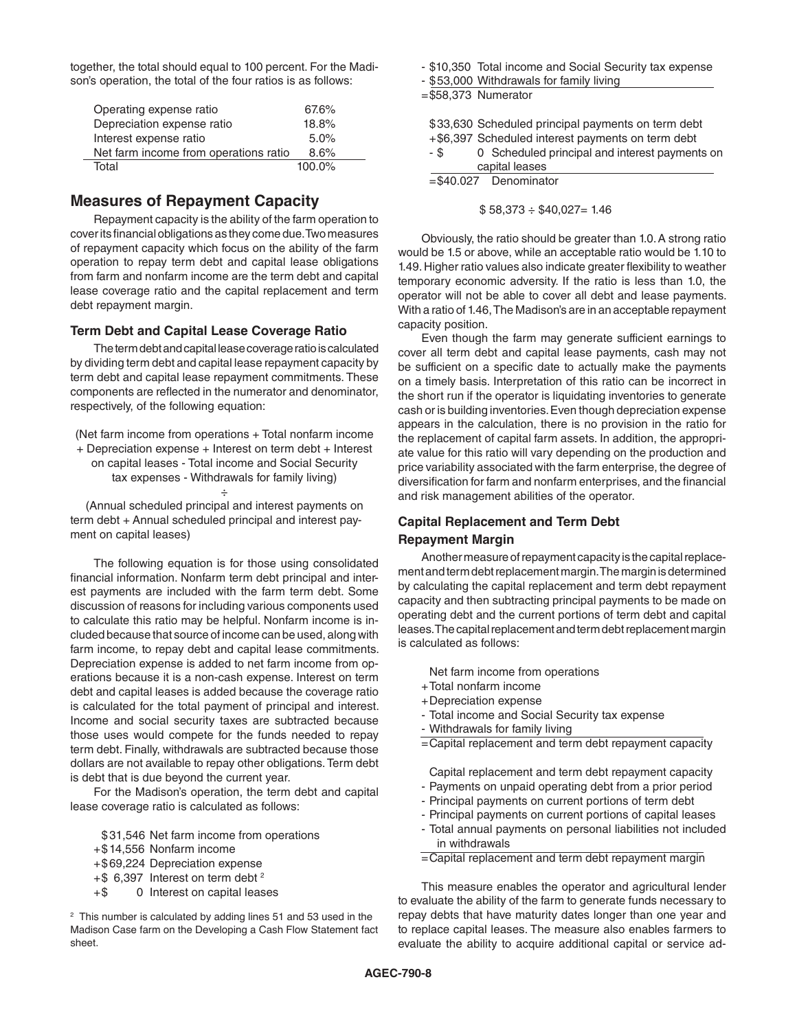together, the total should equal to 100 percent. For the Madison's operation, the total of the four ratios is as follows:

| Operating expense ratio               | 67.6%     |
|---------------------------------------|-----------|
| Depreciation expense ratio            | 18.8%     |
| Interest expense ratio                | 5.0%      |
| Net farm income from operations ratio | 8.6%      |
| Total                                 | $100.0\%$ |

# **Measures of Repayment Capacity**

Repayment capacity is the ability of the farm operation to cover its financial obligations as they come due. Two measures of repayment capacity which focus on the ability of the farm operation to repay term debt and capital lease obligations from farm and nonfarm income are the term debt and capital lease coverage ratio and the capital replacement and term debt repayment margin.

#### **Term Debt and Capital Lease Coverage Ratio**

The term debt and capital lease coverage ratio is calculated by dividing term debt and capital lease repayment capacity by term debt and capital lease repayment commitments. These components are reflected in the numerator and denominator, respectively, of the following equation:

(Net farm income from operations + Total nonfarm income + Depreciation expense + Interest on term debt + Interest on capital leases - Total income and Social Security tax expenses - Withdrawals for family living) ÷

(Annual scheduled principal and interest payments on term debt + Annual scheduled principal and interest payment on capital leases)

The following equation is for those using consolidated financial information. Nonfarm term debt principal and interest payments are included with the farm term debt. Some discussion of reasons for including various components used to calculate this ratio may be helpful. Nonfarm income is included because that source of income can be used, along with farm income, to repay debt and capital lease commitments. Depreciation expense is added to net farm income from operations because it is a non-cash expense. Interest on term debt and capital leases is added because the coverage ratio is calculated for the total payment of principal and interest. Income and social security taxes are subtracted because those uses would compete for the funds needed to repay term debt. Finally, withdrawals are subtracted because those dollars are not available to repay other obligations. Term debt is debt that is due beyond the current year.

For the Madison's operation, the term debt and capital lease coverage ratio is calculated as follows:

- \$ 31,546 Net farm income from operations
- +\$ 14,556 Nonfarm income
- +\$69,224 Depreciation expense
- +\$ 6,397 Interest on term debt 2
- +\$ 0 Interest on capital leases

2 This number is calculated by adding lines 51 and 53 used in the Madison Case farm on the Developing a Cash Flow Statement fact sheet.

- \$10,350 Total income and Social Security tax expense
- \$53,000 Withdrawals for family living

=\$58,373 Numerator

| \$33,630 Scheduled principal payments on term debt<br>+\$6,397 Scheduled interest payments on term debt<br>0 Scheduled principal and interest payments on<br>- \$<br>capital leases |
|-------------------------------------------------------------------------------------------------------------------------------------------------------------------------------------|
| $= $40.027$ Denominator                                                                                                                                                             |

 $$58,373 \div $40,027 = 1.46$ 

Obviously, the ratio should be greater than 1.0. A strong ratio would be 1.5 or above, while an acceptable ratio would be 1.10 to 1.49. Higher ratio values also indicate greater flexibility to weather temporary economic adversity. If the ratio is less than 1.0, the operator will not be able to cover all debt and lease payments. With a ratio of 1.46, The Madison's are in an acceptable repayment capacity position.

Even though the farm may generate sufficient earnings to cover all term debt and capital lease payments, cash may not be sufficient on a specific date to actually make the payments on a timely basis. Interpretation of this ratio can be incorrect in the short run if the operator is liquidating inventories to generate cash or is building inventories. Even though depreciation expense appears in the calculation, there is no provision in the ratio for the replacement of capital farm assets. In addition, the appropriate value for this ratio will vary depending on the production and price variability associated with the farm enterprise, the degree of diversification for farm and nonfarm enterprises, and the financial and risk management abilities of the operator.

# **Capital Replacement and Term Debt**

#### **Repayment Margin**

Another measure of repayment capacity is the capital replacement and term debt replacement margin. The margin is determined by calculating the capital replacement and term debt repayment capacity and then subtracting principal payments to be made on operating debt and the current portions of term debt and capital leases. The capital replacement and term debt replacement margin is calculated as follows:

Net farm income from operations

- +Total nonfarm income
- +Depreciation expense
- Total income and Social Security tax expense
- Withdrawals for family living
- =Capital replacement and term debt repayment capacity
- Capital replacement and term debt repayment capacity
- Payments on unpaid operating debt from a prior period
- Principal payments on current portions of term debt
- Principal payments on current portions of capital leases
- Total annual payments on personal liabilities not included in withdrawals
- =Capital replacement and term debt repayment margin

This measure enables the operator and agricultural lender to evaluate the ability of the farm to generate funds necessary to repay debts that have maturity dates longer than one year and to replace capital leases. The measure also enables farmers to evaluate the ability to acquire additional capital or service ad